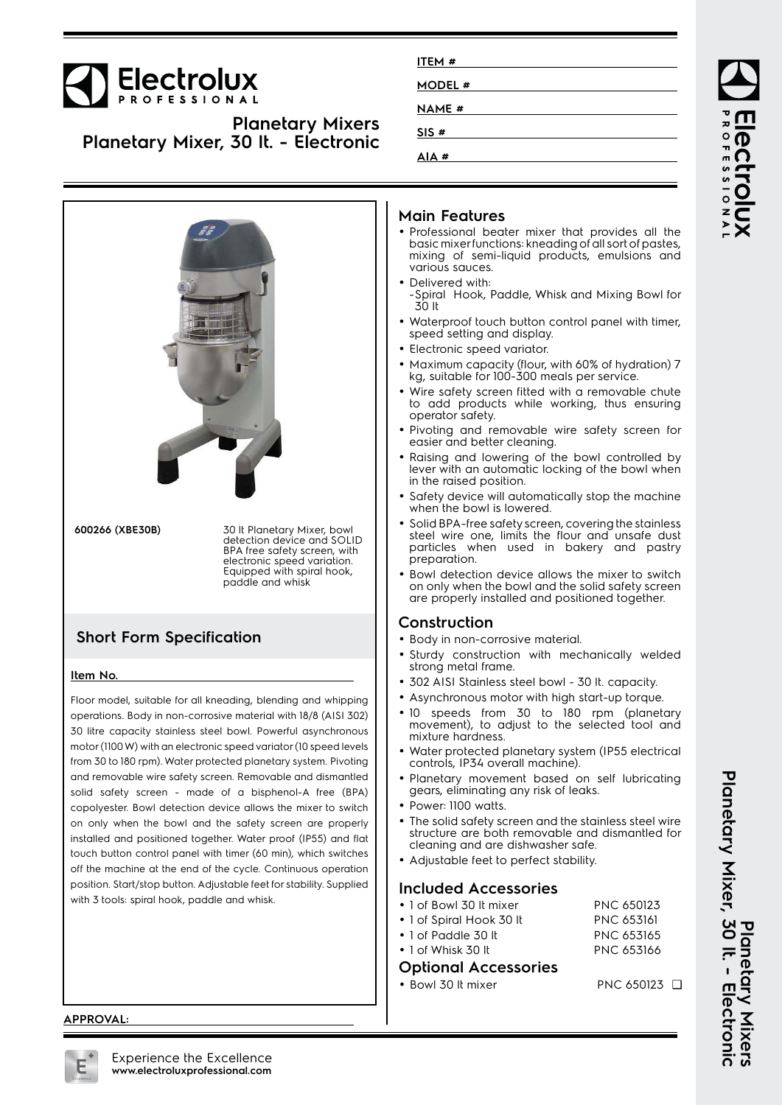

**Planetary Mixers Planetary Mixer, 30 lt. - Electronic**



#### **Item No.**

Floor model, suitable for all kneading, blending and whipping operations. Body in non-corrosive material with 18/8 (AISI 302) 30 litre capacity stainless steel bowl. Powerful asynchronous motor (1100 W) with an electronic speed variator (10 speed levels from 30 to 180 rpm). Water protected planetary system. Pivoting and removable wire safety screen. Removable and dismantled solid safety screen - made of a bisphenol-A free (BPA) copolyester. Bowl detection device allows the mixer to switch on only when the bowl and the safety screen are properly installed and positioned together. Water proof (IP55) and flat touch button control panel with timer (60 min), which switches off the machine at the end of the cycle. Continuous operation position. Start/stop button. Adjustable feet for stability. Supplied with 3 tools: spiral hook, paddle and whisk.

| ITEM#        |  |
|--------------|--|
| MODEL #      |  |
| <b>NAME#</b> |  |
| SIS#         |  |
| AIA#         |  |

## **Main Features**

- Professional beater mixer that provides all the basic mixer functions: kneading of all sort of pastes, mixing of semi-liquid products, emulsions and various sauces.
- •Delivered with:
- -Spiral Hook, Paddle, Whisk and Mixing Bowl for 30 lt
- Waterproof touch button control panel with timer, speed setting and display.
- Electronic speed variator.
- Maximum capacity (flour, with 60% of hydration) 7 kg, suitable for 100-300 meals per service.
- • Wire safety screen fitted with a removable chute to add products while working, thus ensuring operator safety.
- Pivoting and removable wire safety screen for easier and better cleaning.
- • Raising and lowering of the bowl controlled by lever with an automatic locking of the bowl when in the raised position.
- • Safety device will automatically stop the machine when the bowl is lowered.
- • Solid BPA-free safety screen, covering the stainless steel wire one, limits the flour and unsafe dust particles when used in bakery and pastry preparation.
- Bowl detection device allows the mixer to switch on only when the bowl and the solid safety screen are properly installed and positioned together.

## **Construction**

- Body in non-corrosive material.
- • Sturdy construction with mechanically welded strong metal frame.
- 302 AISI Stainless steel bowl 30 lt. capacity.
- •Asynchronous motor with high start-up torque.
- 10 speeds from 30 to 180 rpm (planetary movement), to adjust to the selected tool and mixture hardness.
- • Water protected planetary system (IP55 electrical controls, IP34 overall machine).
- Planetary movement based on self lubricating gears, eliminating any risk of leaks.
- Power: 1100 watts.
- • The solid safety screen and the stainless steel wire structure are both removable and dismantled for cleaning and are dishwasher safe.
- Adjustable feet to perfect stability.

## **Included Accessories**

- 1 of Bowl 30 lt mixer PNC 650123
- 1 of Spiral Hook 30 lt PNC 653161
- $\bullet$  1 of Paddle 30 lt PNC 653165 • 1 of Whisk 30 It PNC 653166
- **Optional Accessories**

#### • Bowl 30 lt mixer PNC 650123 ❑

**APPROVAL:**



ROFESSIONA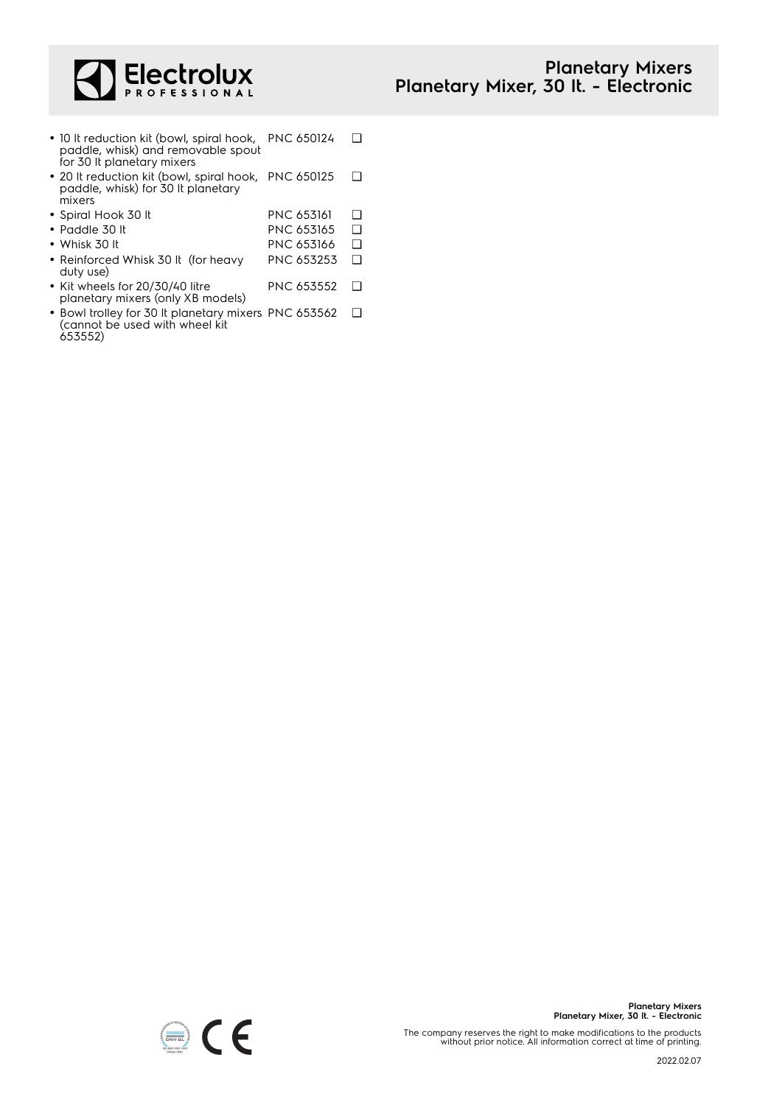

- 10 lt reduction kit (bowl, spiral hook, paddle, whisk) and removable spout for 30 lt planetary mixers PNC 650124 ❑
- 20 lt reduction kit (bowl, spiral hook, paddle, whisk) for 30 lt planetary mixers PNC 650125 ❑

| • Spiral Hook 30 It                              | <b>PNC 653161</b> | ◻ |
|--------------------------------------------------|-------------------|---|
| $\bullet$ Paddle 30 lt                           | PNC 653165        | ❏ |
| $\bullet$ Whisk 30 It                            | <b>PNC 653166</b> | ❏ |
| • Reinforced Whisk 30 It (for heavy<br>duty use) | PNC 653253 $\Box$ |   |
| • Kit wheels for 20/30/40 litre                  | PNC 653552        | ❏ |

- planetary mixers (only XB models) PNC 653552 ❑
- Bowl trolley for 30 lt planetary mixers PNC 653562 ❑(cannot be used with wheel kit 653552)